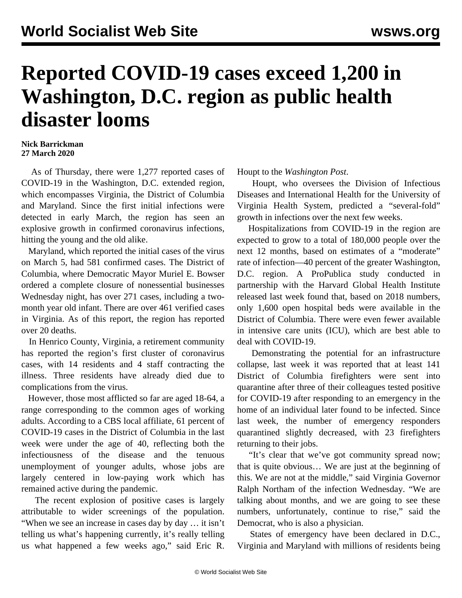## **Reported COVID-19 cases exceed 1,200 in Washington, D.C. region as public health disaster looms**

## **Nick Barrickman 27 March 2020**

 As of Thursday, there were 1,277 reported cases of COVID-19 in the Washington, D.C. extended region, which encompasses Virginia, the District of Columbia and Maryland. Since the first initial infections were detected in early March, the region has seen an explosive growth in confirmed coronavirus infections, hitting the young and the old alike.

 Maryland, which reported the initial cases of the virus on March 5, had 581 confirmed cases. The District of Columbia, where Democratic Mayor Muriel E. Bowser ordered a complete closure of nonessential businesses Wednesday night, has over 271 cases, including a twomonth year old infant. There are over 461 verified cases in Virginia. As of this report, the region has reported over 20 deaths.

 In Henrico County, Virginia, a retirement community has reported the region's first cluster of coronavirus cases, with 14 residents and 4 staff contracting the illness. Three residents have already died due to complications from the virus.

 However, those most afflicted so far are aged 18-64, a range corresponding to the common ages of working adults. According to a CBS local affiliate, 61 percent of COVID-19 cases in the District of Columbia in the last week were under the age of 40, reflecting both the infectiousness of the disease and the tenuous unemployment of younger adults, whose jobs are largely centered in low-paying work which has remained active during the pandemic.

 The recent explosion of positive cases is largely attributable to wider screenings of the population. "When we see an increase in cases day by day … it isn't telling us what's happening currently, it's really telling us what happened a few weeks ago," said Eric R. Houpt to the *Washington Post*.

 Houpt, who oversees the Division of Infectious Diseases and International Health for the University of Virginia Health System, predicted a "several-fold" growth in infections over the next few weeks.

 Hospitalizations from COVID-19 in the region are expected to grow to a total of 180,000 people over the next 12 months, based on estimates of a "moderate" rate of infection—40 percent of the greater Washington, D.C. region. A ProPublica study conducted in partnership with the Harvard Global Health Institute released last week found that, based on 2018 numbers, only 1,600 open hospital beds were available in the District of Columbia. There were even fewer available in intensive care units (ICU), which are best able to deal with COVID-19.

 Demonstrating the potential for an infrastructure collapse, last week it was reported that at least 141 District of Columbia firefighters were sent into quarantine after three of their colleagues tested positive for COVID-19 after responding to an emergency in the home of an individual later found to be infected. Since last week, the number of emergency responders quarantined slightly decreased, with 23 firefighters returning to their jobs.

 "It's clear that we've got community spread now; that is quite obvious… We are just at the beginning of this. We are not at the middle," said Virginia Governor Ralph Northam of the infection Wednesday. "We are talking about months, and we are going to see these numbers, unfortunately, continue to rise," said the Democrat, who is also a physician.

 States of emergency have been declared in D.C., Virginia and Maryland with millions of residents being